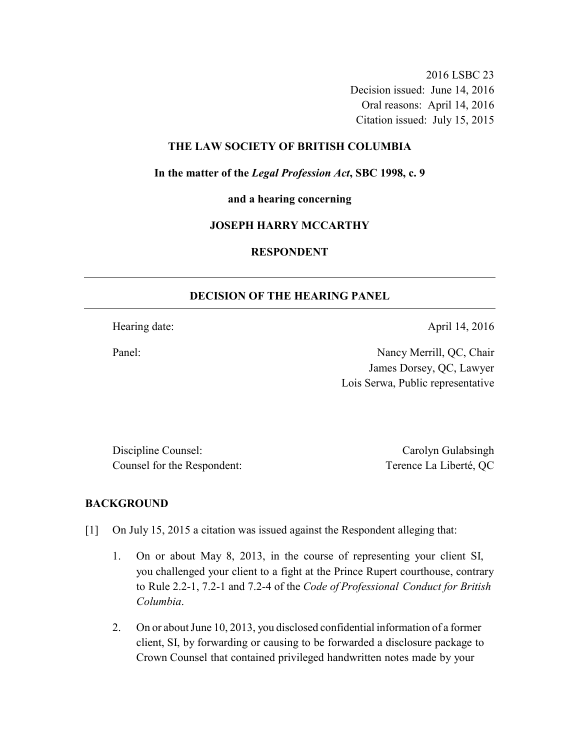2016 LSBC 23 Decision issued: June 14, 2016 Oral reasons: April 14, 2016 Citation issued: July 15, 2015

## **THE LAW SOCIETY OF BRITISH COLUMBIA**

**In the matter of the** *Legal Profession Act***, SBC 1998, c. 9** 

**and a hearing concerning** 

### **JOSEPH HARRY MCCARTHY**

## **RESPONDENT**

### **DECISION OF THE HEARING PANEL**

Hearing date: April 14, 2016

Panel: Nancy Merrill, QC, Chair James Dorsey, QC, Lawyer Lois Serwa, Public representative

Discipline Counsel: Carolyn Gulabsingh Counsel for the Respondent: Terence La Liberté, QC

#### **BACKGROUND**

- [1] On July 15, 2015 a citation was issued against the Respondent alleging that:
	- 1. On or about May 8, 2013, in the course of representing your client SI, you challenged your client to a fight at the Prince Rupert courthouse, contrary to Rule 2.2-1, 7.2-1 and 7.2-4 of the *Code of Professional Conduct for British Columbia*.
	- 2. On or about June 10, 2013, you disclosed confidential information of a former client, SI, by forwarding or causing to be forwarded a disclosure package to Crown Counsel that contained privileged handwritten notes made by your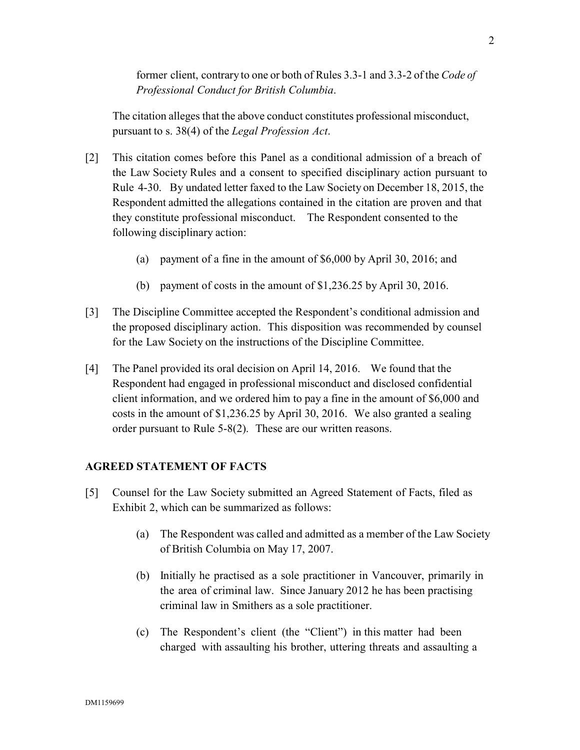former client, contrary to one or both of Rules 3.3-1 and 3.3-2 of the *Code of Professional Conduct for British Columbia*.

The citation alleges that the above conduct constitutes professional misconduct, pursuant to s. 38(4) of the *Legal Profession Act*.

- [2] This citation comes before this Panel as a conditional admission of a breach of the Law Society Rules and a consent to specified disciplinary action pursuant to Rule 4-30. By undated letter faxed to the Law Society on December 18, 2015, the Respondent admitted the allegations contained in the citation are proven and that they constitute professional misconduct. The Respondent consented to the following disciplinary action:
	- (a) payment of a fine in the amount of \$6,000 by April 30, 2016; and
	- (b) payment of costs in the amount of \$1,236.25 by April 30, 2016.
- [3] The Discipline Committee accepted the Respondent's conditional admission and the proposed disciplinary action. This disposition was recommended by counsel for the Law Society on the instructions of the Discipline Committee.
- [4] The Panel provided its oral decision on April 14, 2016. We found that the Respondent had engaged in professional misconduct and disclosed confidential client information, and we ordered him to pay a fine in the amount of \$6,000 and costs in the amount of \$1,236.25 by April 30, 2016. We also granted a sealing order pursuant to Rule 5-8(2). These are our written reasons.

## **AGREED STATEMENT OF FACTS**

- [5] Counsel for the Law Society submitted an Agreed Statement of Facts, filed as Exhibit 2, which can be summarized as follows:
	- (a) The Respondent was called and admitted as a member of the Law Society of British Columbia on May 17, 2007.
	- (b) Initially he practised as a sole practitioner in Vancouver, primarily in the area of criminal law. Since January 2012 he has been practising criminal law in Smithers as a sole practitioner.
	- (c) The Respondent's client (the "Client") in this matter had been charged with assaulting his brother, uttering threats and assaulting a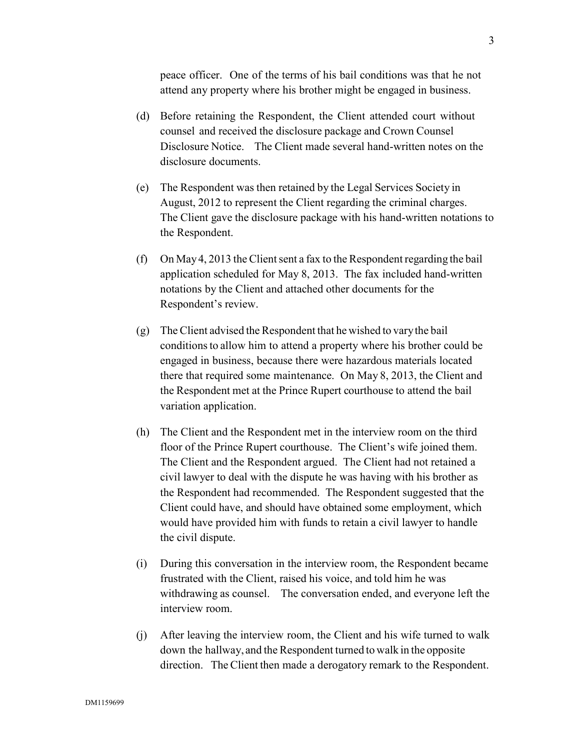peace officer. One of the terms of his bail conditions was that he not attend any property where his brother might be engaged in business.

- (d) Before retaining the Respondent, the Client attended court without counsel and received the disclosure package and Crown Counsel Disclosure Notice. The Client made several hand-written notes on the disclosure documents.
- (e) The Respondent was then retained by the Legal Services Society in August, 2012 to represent the Client regarding the criminal charges. The Client gave the disclosure package with his hand-written notations to the Respondent.
- (f) On May 4, 2013 the Client sent a fax to the Respondent regarding the bail application scheduled for May 8, 2013. The fax included hand-written notations by the Client and attached other documents for the Respondent's review.
- (g) The Client advised the Respondent that he wished to vary the bail conditions to allow him to attend a property where his brother could be engaged in business, because there were hazardous materials located there that required some maintenance. On May 8, 2013, the Client and the Respondent met at the Prince Rupert courthouse to attend the bail variation application.
- (h) The Client and the Respondent met in the interview room on the third floor of the Prince Rupert courthouse. The Client's wife joined them. The Client and the Respondent argued. The Client had not retained a civil lawyer to deal with the dispute he was having with his brother as the Respondent had recommended. The Respondent suggested that the Client could have, and should have obtained some employment, which would have provided him with funds to retain a civil lawyer to handle the civil dispute.
- (i) During this conversation in the interview room, the Respondent became frustrated with the Client, raised his voice, and told him he was withdrawing as counsel. The conversation ended, and everyone left the interview room.
- (j) After leaving the interview room, the Client and his wife turned to walk down the hallway, and the Respondent turned to walk in the opposite direction. The Client then made a derogatory remark to the Respondent.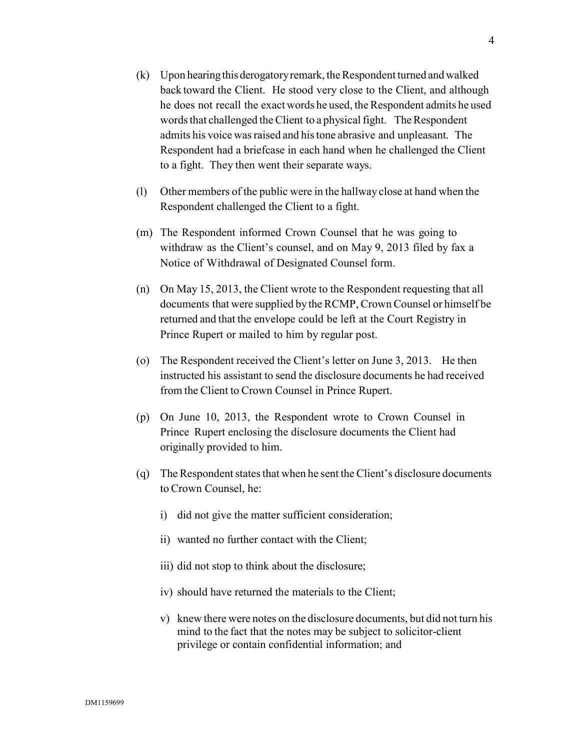- (k) Upon hearing this derogatory remark, the Respondent turned and walked back toward the Client. He stood very close to the Client, and although he does not recall the exact words he used, the Respondent admits he used words that challenged the Client to a physical fight. The Respondent admits his voice was raised and his tone abrasive and unpleasant. The Respondent had a briefcase in each hand when he challenged the Client to a fight. They then went their separate ways.
- (l) Other members of the public were in the hallway close at hand when the Respondent challenged the Client to a fight.
- (m) The Respondent informed Crown Counsel that he was going to withdraw as the Client's counsel, and on May 9, 2013 filed by fax a Notice of Withdrawal of Designated Counsel form.
- (n) On May 15, 2013, the Client wrote to the Respondent requesting that all documents that were supplied by the RCMP, Crown Counsel or himself be returned and that the envelope could be left at the Court Registry in Prince Rupert or mailed to him by regular post.
- (o) The Respondent received the Client's letter on June 3, 2013. He then instructed his assistant to send the disclosure documents he had received from the Client to Crown Counsel in Prince Rupert.
- (p) On June 10, 2013, the Respondent wrote to Crown Counsel in Prince Rupert enclosing the disclosure documents the Client had originally provided to him.
- (q) The Respondent states that when he sent the Client's disclosure documents to Crown Counsel, he:
	- i) did not give the matter sufficient consideration;
	- ii) wanted no further contact with the Client;
	- iii) did not stop to think about the disclosure;
	- iv) should have returned the materials to the Client;
	- v) knew there were notes on the disclosure documents, but did not turn his mind to the fact that the notes may be subject to solicitor-client privilege or contain confidential information; and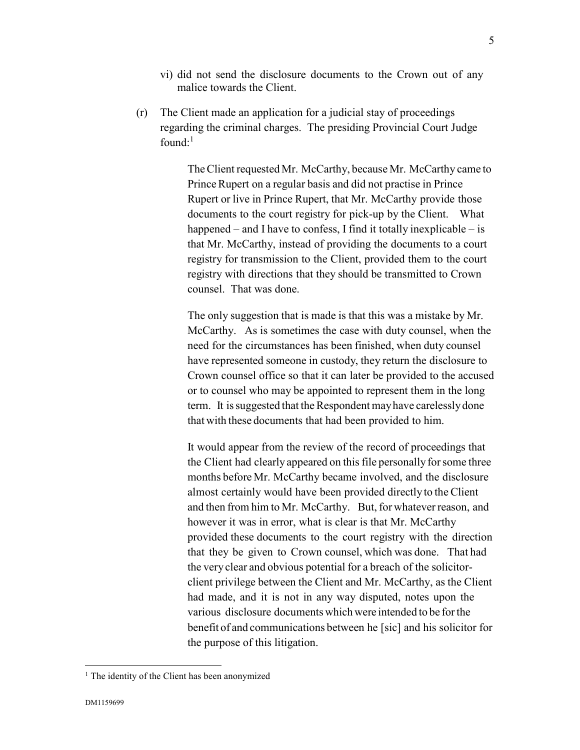- vi) did not send the disclosure documents to the Crown out of any malice towards the Client.
- (r) The Client made an application for a judicial stay of proceedings regarding the criminal charges. The presiding Provincial Court Judge found: $1$

The Client requested Mr. McCarthy, because Mr. McCarthy came to Prince Rupert on a regular basis and did not practise in Prince Rupert or live in Prince Rupert, that Mr. McCarthy provide those documents to the court registry for pick-up by the Client. What happened – and I have to confess, I find it totally inexplicable – is that Mr. McCarthy, instead of providing the documents to a court registry for transmission to the Client, provided them to the court registry with directions that they should be transmitted to Crown counsel. That was done.

The only suggestion that is made is that this was a mistake by Mr. McCarthy. As is sometimes the case with duty counsel, when the need for the circumstances has been finished, when duty counsel have represented someone in custody, they return the disclosure to Crown counsel office so that it can later be provided to the accused or to counsel who may be appointed to represent them in the long term. It is suggested that the Respondent may have carelessly done that with these documents that had been provided to him.

It would appear from the review of the record of proceedings that the Client had clearly appeared on this file personally for some three months before Mr. McCarthy became involved, and the disclosure almost certainly would have been provided directly to the Client and then from him to Mr. McCarthy. But, for whatever reason, and however it was in error, what is clear is that Mr. McCarthy provided these documents to the court registry with the direction that they be given to Crown counsel, which was done. That had the very clear and obvious potential for a breach of the solicitorclient privilege between the Client and Mr. McCarthy, as the Client had made, and it is not in any way disputed, notes upon the various disclosure documents which were intended to be for the benefit of and communications between he [sic] and his solicitor for the purpose of this litigation.

 $\overline{a}$ 

<sup>&</sup>lt;sup>1</sup> The identity of the Client has been anonymized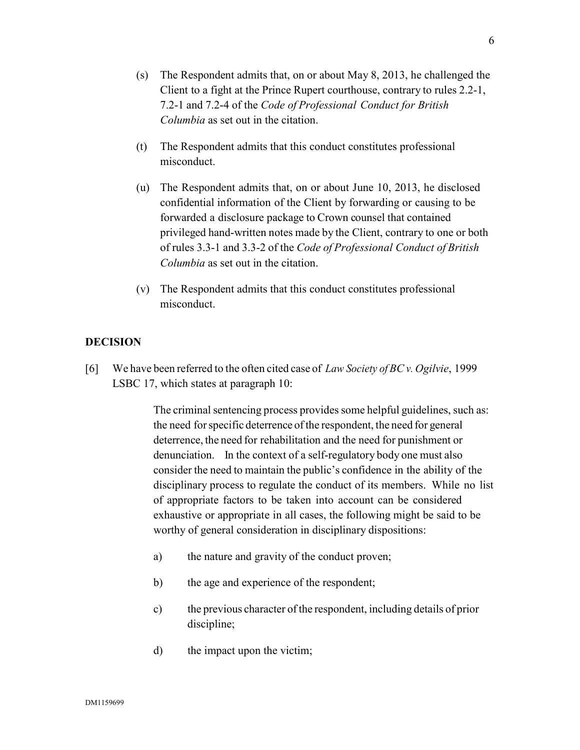- (s) The Respondent admits that, on or about May 8, 2013, he challenged the Client to a fight at the Prince Rupert courthouse, contrary to rules 2.2-1, 7.2-1 and 7.2-4 of the *Code of Professional Conduct for British Columbia* as set out in the citation.
- (t) The Respondent admits that this conduct constitutes professional misconduct.
- (u) The Respondent admits that, on or about June 10, 2013, he disclosed confidential information of the Client by forwarding or causing to be forwarded a disclosure package to Crown counsel that contained privileged hand-written notes made by the Client, contrary to one or both of rules 3.3-1 and 3.3-2 of the *Code of Professional Conduct of British Columbia* as set out in the citation.
- (v) The Respondent admits that this conduct constitutes professional misconduct.

## **DECISION**

[6] We have been referred to the often cited case of *Law Society of BC v. Ogilvie*, 1999 LSBC 17, which states at paragraph 10:

> The criminal sentencing process provides some helpful guidelines, such as: the need for specific deterrence of the respondent, the need for general deterrence, the need for rehabilitation and the need for punishment or denunciation. In the context of a self-regulatory body one must also consider the need to maintain the public's confidence in the ability of the disciplinary process to regulate the conduct of its members. While no list of appropriate factors to be taken into account can be considered exhaustive or appropriate in all cases, the following might be said to be worthy of general consideration in disciplinary dispositions:

- a) the nature and gravity of the conduct proven;
- b) the age and experience of the respondent;
- c) the previous character of the respondent, including details of prior discipline;
- d) the impact upon the victim;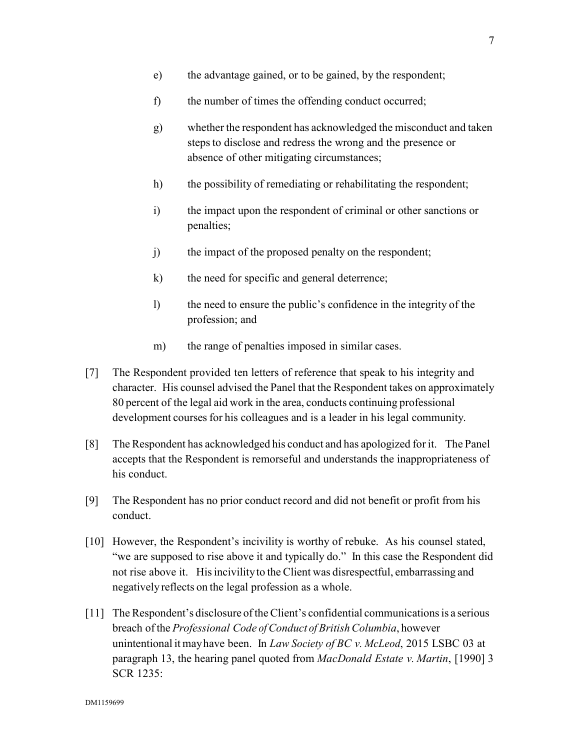- e) the advantage gained, or to be gained, by the respondent;
- f) the number of times the offending conduct occurred;
- g) whether the respondent has acknowledged the misconduct and taken steps to disclose and redress the wrong and the presence or absence of other mitigating circumstances;
- h) the possibility of remediating or rehabilitating the respondent;
- i) the impact upon the respondent of criminal or other sanctions or penalties;
- j) the impact of the proposed penalty on the respondent;
- k) the need for specific and general deterrence;
- l) the need to ensure the public's confidence in the integrity of the profession; and
- m) the range of penalties imposed in similar cases.
- [7] The Respondent provided ten letters of reference that speak to his integrity and character. His counsel advised the Panel that the Respondent takes on approximately 80 percent of the legal aid work in the area, conducts continuing professional development courses for his colleagues and is a leader in his legal community.
- [8] The Respondent has acknowledged his conduct and has apologized for it. The Panel accepts that the Respondent is remorseful and understands the inappropriateness of his conduct.
- [9] The Respondent has no prior conduct record and did not benefit or profit from his conduct.
- [10] However, the Respondent's incivility is worthy of rebuke. As his counsel stated, "we are supposed to rise above it and typically do." In this case the Respondent did not rise above it. His incivility to the Client was disrespectful, embarrassing and negatively reflects on the legal profession as a whole.
- [11] The Respondent's disclosure of the Client's confidential communications is a serious breach of the *Professional Code of Conduct of British Columbia*, however unintentional it may have been. In *Law Society of BC v. McLeod*, 2015 LSBC 03 at paragraph 13, the hearing panel quoted from *MacDonald Estate v. Martin*, [1990] 3 SCR 1235: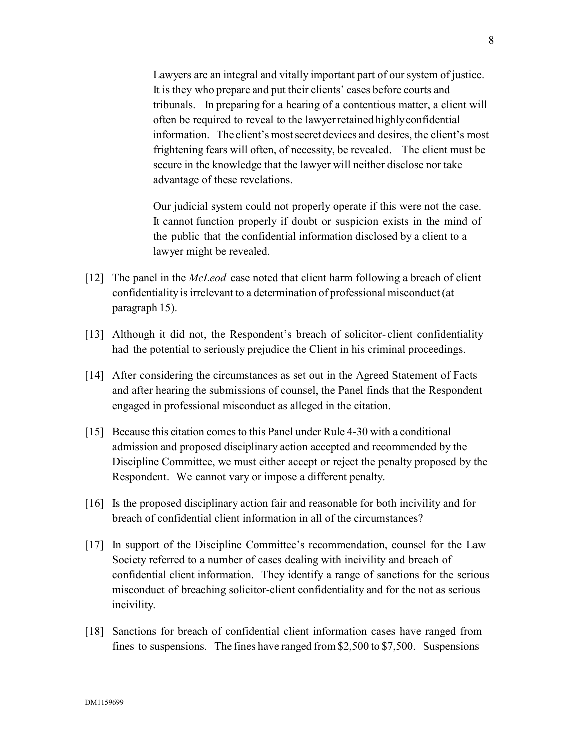Lawyers are an integral and vitally important part of our system of justice. It is they who prepare and put their clients' cases before courts and tribunals. In preparing for a hearing of a contentious matter, a client will often be required to reveal to the lawyer retained highly confidential information. The client's most secret devices and desires, the client's most frightening fears will often, of necessity, be revealed. The client must be secure in the knowledge that the lawyer will neither disclose nor take advantage of these revelations.

Our judicial system could not properly operate if this were not the case. It cannot function properly if doubt or suspicion exists in the mind of the public that the confidential information disclosed by a client to a lawyer might be revealed.

- [12] The panel in the *McLeod* case noted that client harm following a breach of client confidentiality is irrelevant to a determination of professional misconduct (at paragraph 15).
- [13] Although it did not, the Respondent's breach of solicitor- client confidentiality had the potential to seriously prejudice the Client in his criminal proceedings.
- [14] After considering the circumstances as set out in the Agreed Statement of Facts and after hearing the submissions of counsel, the Panel finds that the Respondent engaged in professional misconduct as alleged in the citation.
- [15] Because this citation comes to this Panel under Rule 4-30 with a conditional admission and proposed disciplinary action accepted and recommended by the Discipline Committee, we must either accept or reject the penalty proposed by the Respondent. We cannot vary or impose a different penalty.
- [16] Is the proposed disciplinary action fair and reasonable for both incivility and for breach of confidential client information in all of the circumstances?
- [17] In support of the Discipline Committee's recommendation, counsel for the Law Society referred to a number of cases dealing with incivility and breach of confidential client information. They identify a range of sanctions for the serious misconduct of breaching solicitor-client confidentiality and for the not as serious incivility.
- [18] Sanctions for breach of confidential client information cases have ranged from fines to suspensions. The fines have ranged from \$2,500 to \$7,500. Suspensions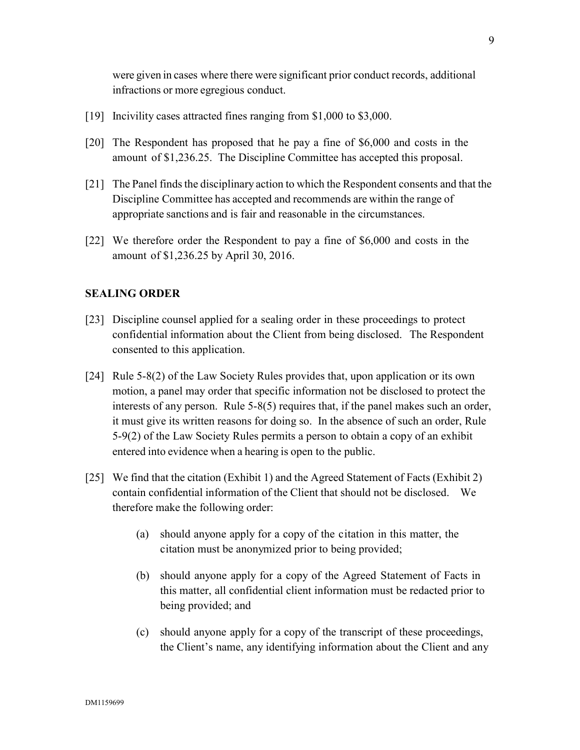were given in cases where there were significant prior conduct records, additional infractions or more egregious conduct.

- [19] Incivility cases attracted fines ranging from \$1,000 to \$3,000.
- [20] The Respondent has proposed that he pay a fine of \$6,000 and costs in the amount of \$1,236.25. The Discipline Committee has accepted this proposal.
- [21] The Panel finds the disciplinary action to which the Respondent consents and that the Discipline Committee has accepted and recommends are within the range of appropriate sanctions and is fair and reasonable in the circumstances.
- [22] We therefore order the Respondent to pay a fine of \$6,000 and costs in the amount of \$1,236.25 by April 30, 2016.

### **SEALING ORDER**

- [23] Discipline counsel applied for a sealing order in these proceedings to protect confidential information about the Client from being disclosed. The Respondent consented to this application.
- [24] Rule 5-8(2) of the Law Society Rules provides that, upon application or its own motion, a panel may order that specific information not be disclosed to protect the interests of any person. Rule 5-8(5) requires that, if the panel makes such an order, it must give its written reasons for doing so. In the absence of such an order, Rule 5-9(2) of the Law Society Rules permits a person to obtain a copy of an exhibit entered into evidence when a hearing is open to the public.
- [25] We find that the citation (Exhibit 1) and the Agreed Statement of Facts (Exhibit 2) contain confidential information of the Client that should not be disclosed. We therefore make the following order:
	- (a) should anyone apply for a copy of the citation in this matter, the citation must be anonymized prior to being provided;
	- (b) should anyone apply for a copy of the Agreed Statement of Facts in this matter, all confidential client information must be redacted prior to being provided; and
	- (c) should anyone apply for a copy of the transcript of these proceedings, the Client's name, any identifying information about the Client and any